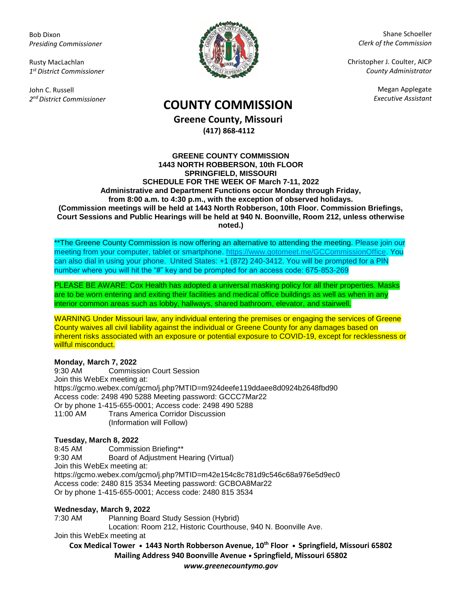Bob Dixon *Presiding Commissioner*

Rusty MacLachlan *1 st District Commissioner*

John C. Russell *2 nd District Commissioner*



Shane Schoeller *Clerk of the Commission*

Christopher J. Coulter, AICP *County Administrator*

Megan Applegate

# *Executive Assistant* **COUNTY COMMISSION**

**Greene County, Missouri (417) 868-4112**

#### **GREENE COUNTY COMMISSION 1443 NORTH ROBBERSON, 10th FLOOR SPRINGFIELD, MISSOURI SCHEDULE FOR THE WEEK OF March 7-11, 2022 Administrative and Department Functions occur Monday through Friday, from 8:00 a.m. to 4:30 p.m., with the exception of observed holidays. (Commission meetings will be held at 1443 North Robberson, 10th Floor. Commission Briefings, Court Sessions and Public Hearings will be held at 940 N. Boonville, Room 212, unless otherwise noted.)**

\*\*The Greene County Commission is now offering an alternative to attending the meeting. Please join our meeting from your computer, tablet or smartphone. [https://www.gotomeet.me/GCCommissionOffice.](https://www.gotomeet.me/GCCommissionOffice) You can also dial in using your phone. United States: +1 (872) 240-3412. You will be prompted for a PIN number where you will hit the "#" key and be prompted for an access code: 675-853-269

PLEASE BE AWARE: Cox Health has adopted a universal masking policy for all their properties. Masks are to be worn entering and exiting their facilities and medical office buildings as well as when in any interior common areas such as lobby, hallways, shared bathroom, elevator, and stairwell.

WARNING Under Missouri law, any individual entering the premises or engaging the services of Greene County waives all civil liability against the individual or Greene County for any damages based on inherent risks associated with an exposure or potential exposure to COVID-19, except for recklessness or willful misconduct.

## **Monday, March 7, 2022**

9:30 AM Commission Court Session Join this WebEx meeting at: https://gcmo.webex.com/gcmo/j.php?MTID=m924deefe119ddaee8d0924b2648fbd90 Access code: 2498 490 5288 Meeting password: GCCC7Mar22 Or by phone 1-415-655-0001; Access code: 2498 490 5288 11:00 AM Trans America Corridor Discussion (Information will Follow)

## **Tuesday, March 8, 2022**

8:45 AM Commission Briefing\*\* 9:30 AM Board of Adjustment Hearing (Virtual) Join this WebEx meeting at: https://gcmo.webex.com/gcmo/j.php?MTID=m42e154c8c781d9c546c68a976e5d9ec0 Access code: 2480 815 3534 Meeting password: GCBOA8Mar22 Or by phone 1-415-655-0001; Access code: 2480 815 3534

## **Wednesday, March 9, 2022**

7:30 AM Planning Board Study Session (Hybrid) Location: Room 212, Historic Courthouse, 940 N. Boonville Ave.

Join this WebEx meeting at

**Cox Medical Tower • 1443 North Robberson Avenue, 10th Floor • Springfield, Missouri 65802 Mailing Address 940 Boonville Avenue • Springfield, Missouri 65802** *www.greenecountymo.gov*